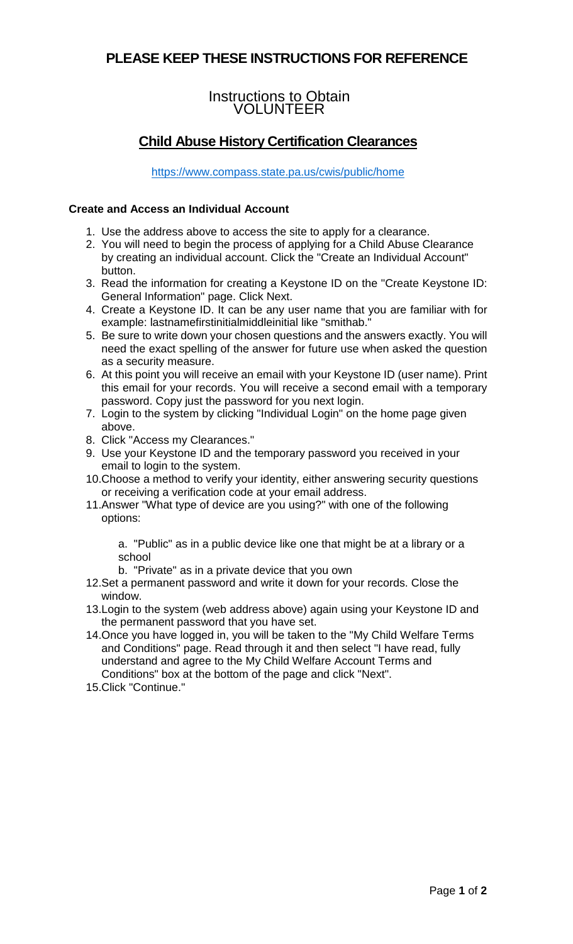## **PLEASE KEEP THESE INSTRUCTIONS FOR REFERENCE**

### Instructions to Obtain VOLUNTEER

# **Child Abuse History Certification Clearances**

<https://www.compass.state.pa.us/cwis/public/home>

#### **Create and Access an Individual Account**

- 1. Use the address above to access the site to apply for a clearance.
- 2. You will need to begin the process of applying for a Child Abuse Clearance by creating an individual account. Click the "Create an Individual Account" button.
- 3. Read the information for creating a Keystone ID on the "Create Keystone ID: General Information" page. Click Next.
- 4. Create a Keystone ID. It can be any user name that you are familiar with for example: lastnamefirstinitialmiddleinitial like "smithab."
- 5. Be sure to write down your chosen questions and the answers exactly. You will need the exact spelling of the answer for future use when asked the question as a security measure.
- 6. At this point you will receive an email with your Keystone ID (user name). Print this email for your records. You will receive a second email with a temporary password. Copy just the password for you next login.
- 7. Login to the system by clicking "Individual Login" on the home page given above.
- 8. Click "Access my Clearances."
- 9. Use your Keystone ID and the temporary password you received in your email to login to the system.
- 10.Choose a method to verify your identity, either answering security questions or receiving a verification code at your email address.
- 11.Answer "What type of device are you using?" with one of the following options:

a. "Public" as in a public device like one that might be at a library or a school

- b. "Private" as in a private device that you own
- 12.Set a permanent password and write it down for your records. Close the window.
- 13.Login to the system (web address above) again using your Keystone ID and the permanent password that you have set.
- 14.Once you have logged in, you will be taken to the "My Child Welfare Terms and Conditions" page. Read through it and then select "I have read, fully understand and agree to the My Child Welfare Account Terms and Conditions" box at the bottom of the page and click "Next".
- 15.Click "Continue."